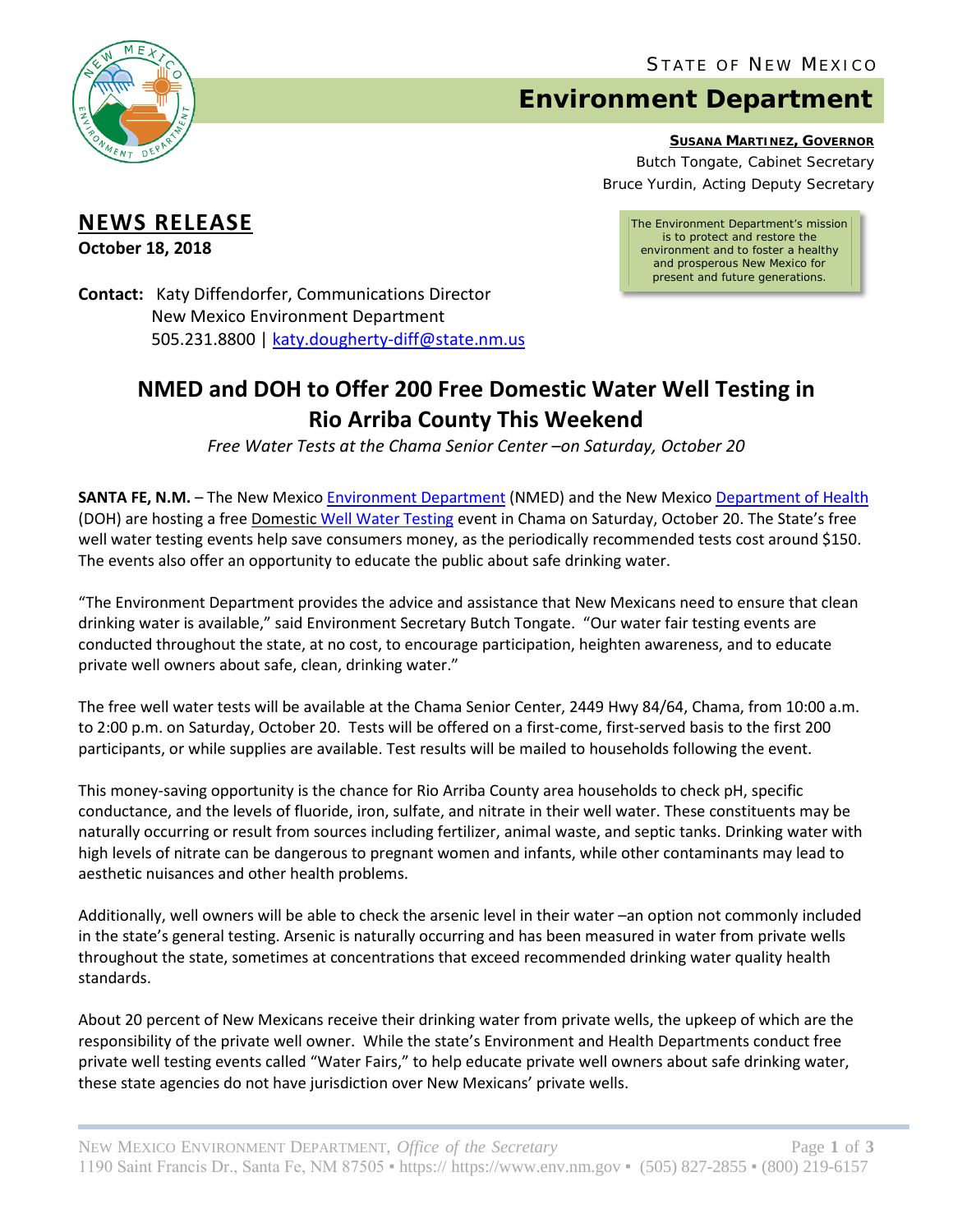

## **Environment Department**

**SUSANA MARTINEZ, GOVERNOR**

Butch Tongate, Cabinet Secretary Bruce Yurdin, Acting Deputy Secretary

## **NEWS RELEASE**

**October 18, 2018**

*The Environment Department's mission is to protect and restore the environment and to foster a healthy and prosperous New Mexico for present and future generations.*

**Contact:** Katy Diffendorfer, Communications Director New Mexico Environment Department 505.231.8800 | [katy.dougherty-diff@state.nm.us](mailto:katy.dougherty-diff@state.nm.us)

## **NMED and DOH to Offer 200 Free Domestic Water Well Testing in Rio Arriba County This Weekend**

*Free Water Tests at the Chama Senior Center –on Saturday, October 20*

**SANTA FE, N.M.** – The New Mexico [Environment Department](https://www.env.nm.gov/) (NMED) and the New Mexico [Department of Health](https://nmhealth.org/) (DOH) are hosting a free Domestic [Well Water Testing](https://www.env.nm.gov/gwqb/water-fairs/) event in Chama on Saturday, October 20. The State's free well water testing events help save consumers money, as the periodically recommended tests cost around \$150. The events also offer an opportunity to educate the public about safe drinking water.

"The Environment Department provides the advice and assistance that New Mexicans need to ensure that clean drinking water is available," said Environment Secretary Butch Tongate. "Our water fair testing events are conducted throughout the state, at no cost, to encourage participation, heighten awareness, and to educate private well owners about safe, clean, drinking water."

The free well water tests will be available at the Chama Senior Center, 2449 Hwy 84/64, Chama, from 10:00 a.m. to 2:00 p.m. on Saturday, October 20. Tests will be offered on a first-come, first-served basis to the first 200 participants, or while supplies are available. Test results will be mailed to households following the event.

This money-saving opportunity is the chance for Rio Arriba County area households to check pH, specific conductance, and the levels of fluoride, iron, sulfate, and nitrate in their well water. These constituents may be naturally occurring or result from sources including fertilizer, animal waste, and septic tanks. Drinking water with high levels of nitrate can be dangerous to pregnant women and infants, while other contaminants may lead to aesthetic nuisances and other health problems.

Additionally, well owners will be able to check the arsenic level in their water –an option not commonly included in the state's general testing. Arsenic is naturally occurring and has been measured in water from private wells throughout the state, sometimes at concentrations that exceed recommended drinking water quality health standards.

About 20 percent of New Mexicans receive their drinking water from private wells, the upkeep of which are the responsibility of the private well owner. While the state's Environment and Health Departments conduct free private well testing events called "Water Fairs," to help educate private well owners about safe drinking water, these state agencies do not have jurisdiction over New Mexicans' private wells.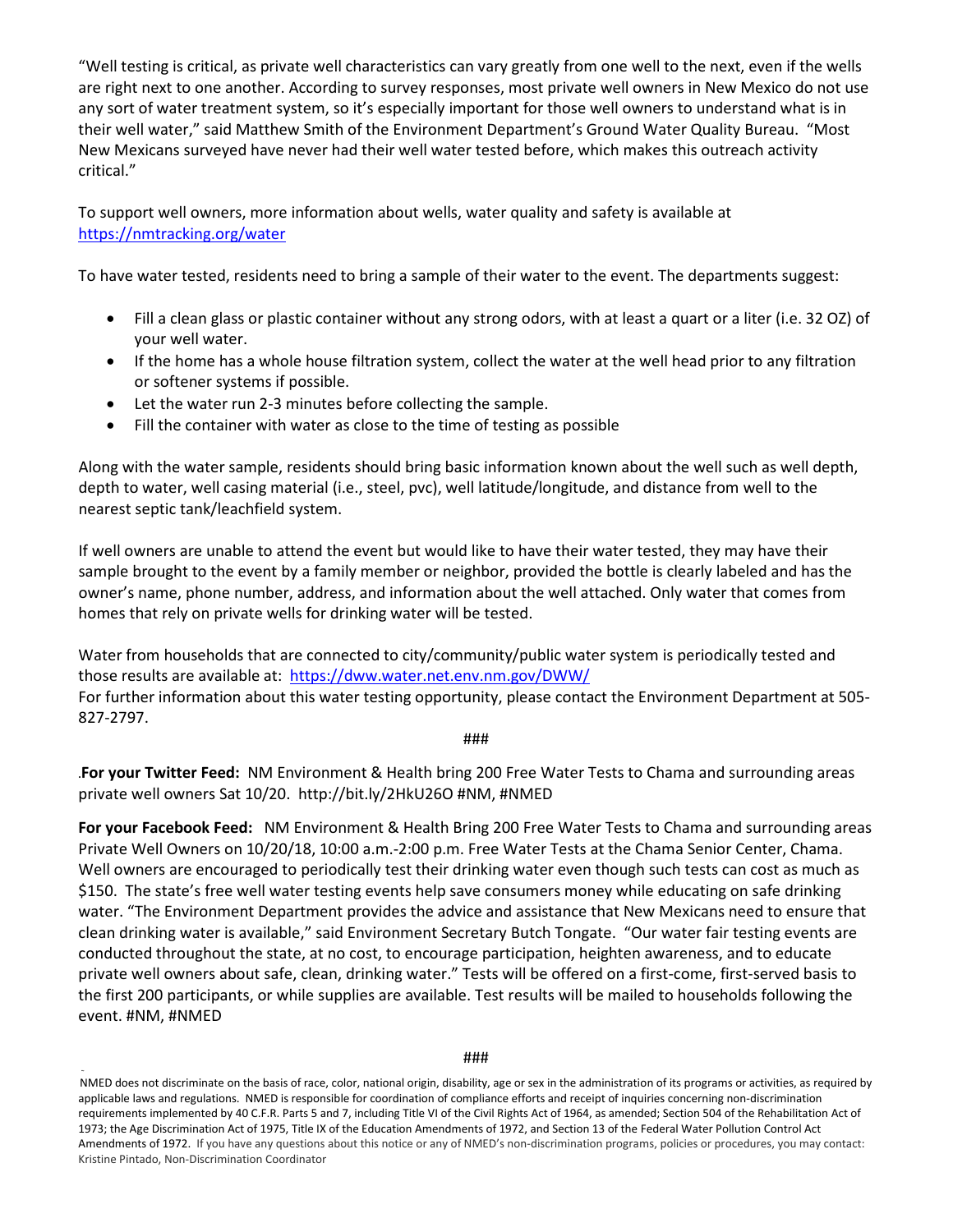"Well testing is critical, as private well characteristics can vary greatly from one well to the next, even if the wells are right next to one another. According to survey responses, most private well owners in New Mexico do not use any sort of water treatment system, so it's especially important for those well owners to understand what is in their well water," said Matthew Smith of the Environment Department's Ground Water Quality Bureau. "Most New Mexicans surveyed have never had their well water tested before, which makes this outreach activity critical."

To support well owners, more information about wells, water quality and safety is available at <https://nmtracking.org/water>

To have water tested, residents need to bring a sample of their water to the event. The departments suggest:

- Fill a clean glass or plastic container without any strong odors, with at least a quart or a liter (i.e. 32 OZ) of your well water.
- If the home has a whole house filtration system, collect the water at the well head prior to any filtration or softener systems if possible.
- Let the water run 2-3 minutes before collecting the sample.
- Fill the container with water as close to the time of testing as possible

Along with the water sample, residents should bring basic information known about the well such as well depth, depth to water, well casing material (i.e., steel, pvc), well latitude/longitude, and distance from well to the nearest septic tank/leachfield system.

If well owners are unable to attend the event but would like to have their water tested, they may have their sample brought to the event by a family member or neighbor, provided the bottle is clearly labeled and has the owner's name, phone number, address, and information about the well attached. Only water that comes from homes that rely on private wells for drinking water will be tested.

Water from households that are connected to city/community/public water system is periodically tested and those results are available at: <https://dww.water.net.env.nm.gov/DWW/> For further information about this water testing opportunity, please contact the Environment Department at 505- 827-2797.

###

**.For your Twitter Feed:** NM Environment & Health bring 200 Free Water Tests to Chama and surrounding areas private well owners Sat 10/20. http://bit.ly/2HkU26O #NM, #NMED

**For your Facebook Feed:** NM Environment & Health Bring 200 Free Water Tests to Chama and surrounding areas Private Well Owners on 10/20/18, 10:00 a.m.-2:00 p.m. Free Water Tests at the Chama Senior Center, Chama. Well owners are encouraged to periodically test their drinking water even though such tests can cost as much as \$150. The state's free well water testing events help save consumers money while educating on safe drinking water. "The Environment Department provides the advice and assistance that New Mexicans need to ensure that clean drinking water is available," said Environment Secretary Butch Tongate. "Our water fair testing events are conducted throughout the state, at no cost, to encourage participation, heighten awareness, and to educate private well owners about safe, clean, drinking water." Tests will be offered on a first-come, first-served basis to the first 200 participants, or while supplies are available. Test results will be mailed to households following the event. #NM, #NMED

NMED does not discriminate on the basis of race, color, national origin, disability, age or sex in the administration of its programs or activities, as required by applicable laws and regulations. NMED is responsible for coordination of compliance efforts and receipt of inquiries concerning non-discrimination requirements implemented by 40 C.F.R. Parts 5 and 7, including Title VI of the Civil Rights Act of 1964, as amended; Section 504 of the Rehabilitation Act of 1973; the Age Discrimination Act of 1975, Title IX of the Education Amendments of 1972, and Section 13 of the Federal Water Pollution Control Act Amendments of 1972. If you have any questions about this notice or any of NMED's non-discrimination programs, policies or procedures, you may contact: Kristine Pintado, Non-Discrimination Coordinator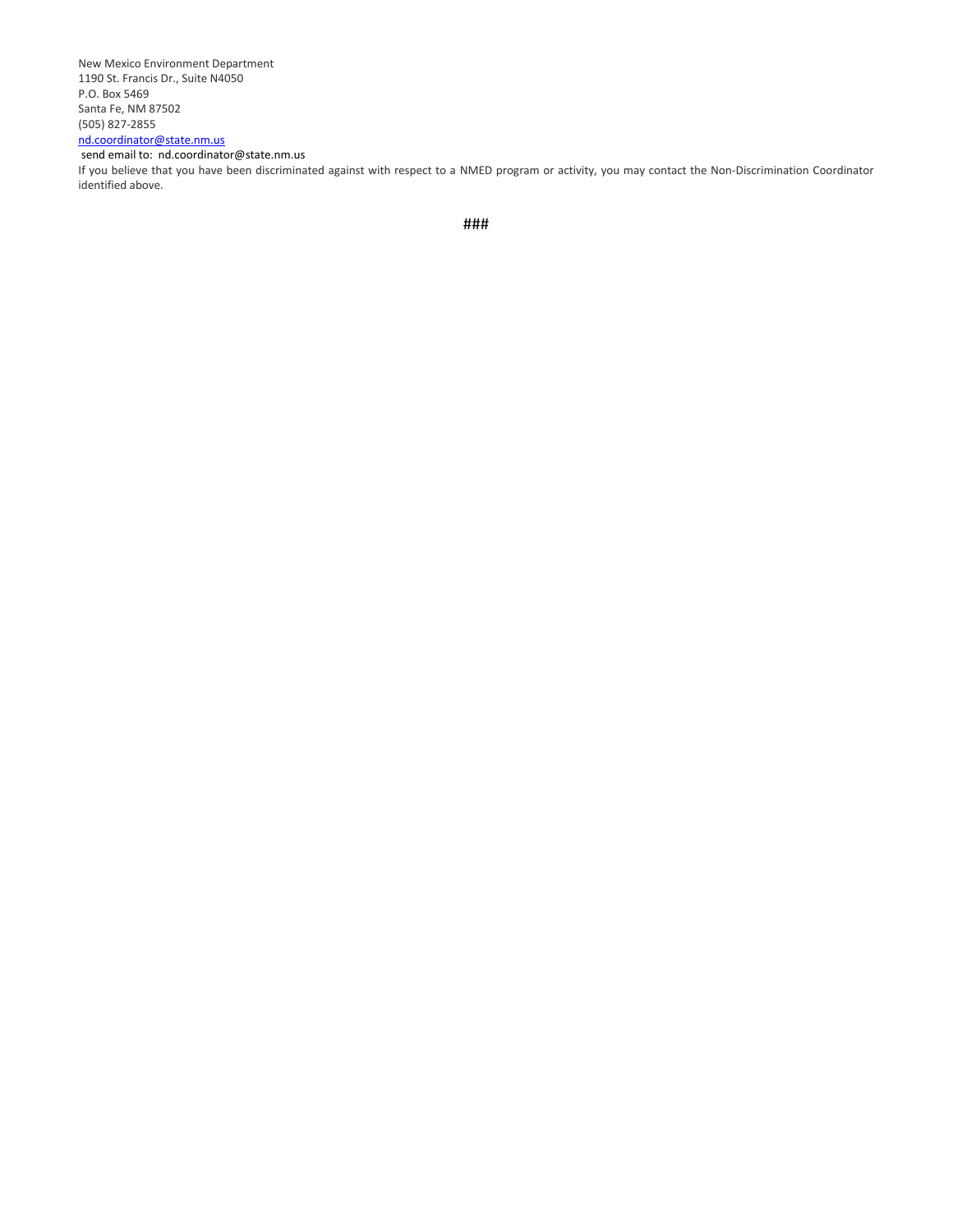New Mexico Environment Department 1190 St. Francis Dr., Suite N4050 P.O. Box 5469 Santa Fe, NM 87502 (505) 827-2855 [nd.coordinator@state.nm.us](mailto:nd.coordinator@state.nm.us)

#### send email to: nd.coordinator@state.nm.us

If you believe that you have been discriminated against with respect to a NMED program or activity, you may contact the Non-Discrimination Coordinator identified above.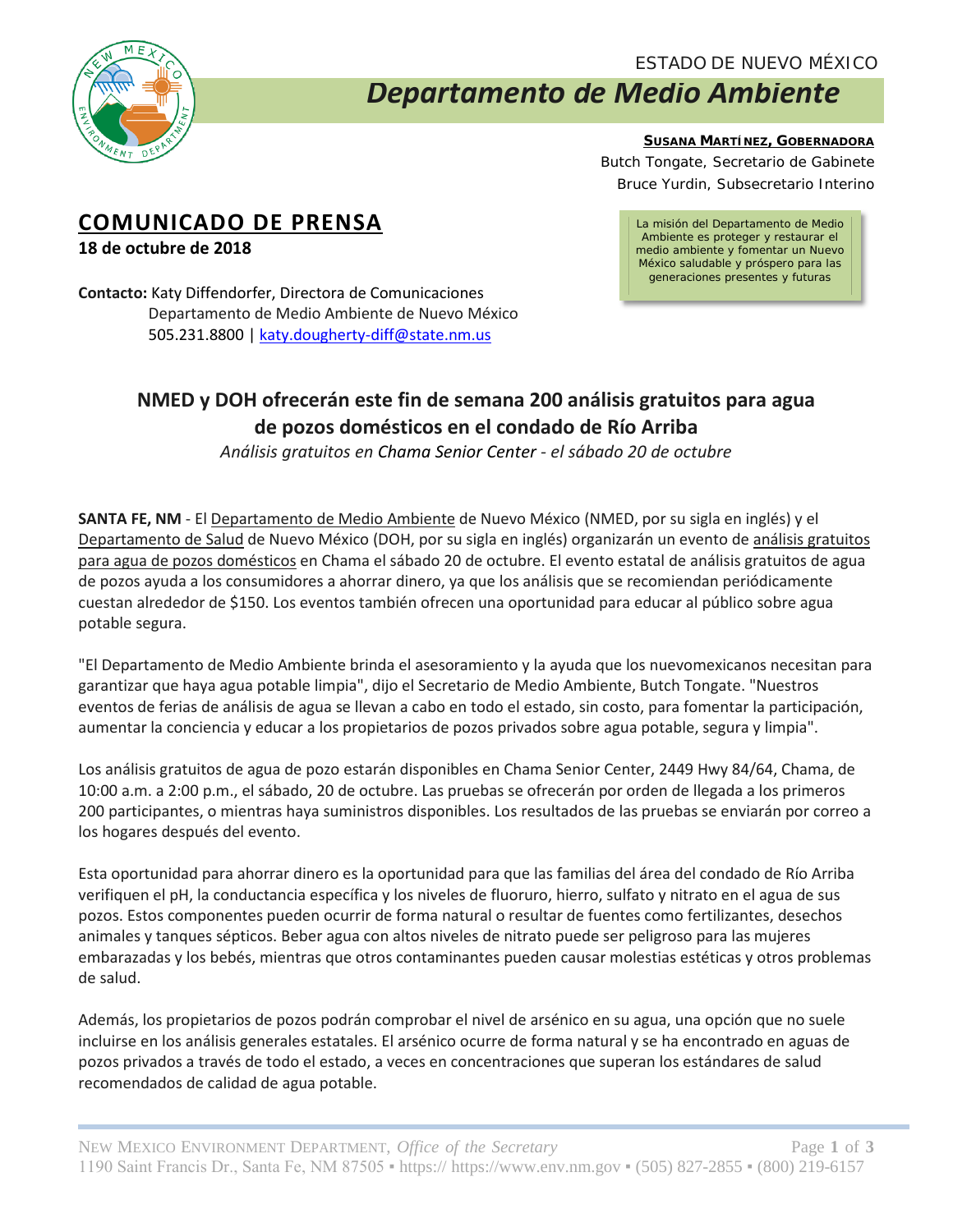

### ESTADO DE NUEVO MÉXICO

# *Departamento de Medio Ambiente*

**SUSANA MARTÍNEZ, GOBERNADORA**

Butch Tongate, *Secretario de Gabinete* Bruce Yurdin, *Subsecretario Interino*

## **COMUNICADO DE PRENSA**

**18 de octubre de 2018**

*La misión del Departamento de Medio Ambiente es proteger y restaurar el medio ambiente y fomentar un Nuevo México saludable y próspero para las generaciones presentes y futuras*

**Contacto:** Katy Diffendorfer, Directora de Comunicaciones Departamento de Medio Ambiente de Nuevo México 505.231.8800 [| katy.dougherty-diff@state.nm.us](mailto:katy.dougherty-diff@state.nm.us)

## **NMED y DOH ofrecerán este fin de semana 200 análisis gratuitos para agua de pozos domésticos en el condado de Río Arriba**

*Análisis gratuitos en Chama Senior Center - el sábado 20 de octubre*

**SANTA FE, NM** - El Departamento de Medio Ambiente de Nuevo México (NMED, por su sigla en inglés) y el Departamento de Salud de Nuevo México (DOH, por su sigla en inglés) organizarán un evento de análisis gratuitos para agua de pozos domésticos en Chama el sábado 20 de octubre. El evento estatal de análisis gratuitos de agua de pozos ayuda a los consumidores a ahorrar dinero, ya que los análisis que se recomiendan periódicamente cuestan alrededor de \$150. Los eventos también ofrecen una oportunidad para educar al público sobre agua potable segura.

"El Departamento de Medio Ambiente brinda el asesoramiento y la ayuda que los nuevomexicanos necesitan para garantizar que haya agua potable limpia", dijo el Secretario de Medio Ambiente, Butch Tongate. "Nuestros eventos de ferias de análisis de agua se llevan a cabo en todo el estado, sin costo, para fomentar la participación, aumentar la conciencia y educar a los propietarios de pozos privados sobre agua potable, segura y limpia".

Los análisis gratuitos de agua de pozo estarán disponibles en Chama Senior Center, 2449 Hwy 84/64, Chama, de 10:00 a.m. a 2:00 p.m., el sábado, 20 de octubre. Las pruebas se ofrecerán por orden de llegada a los primeros 200 participantes, o mientras haya suministros disponibles. Los resultados de las pruebas se enviarán por correo a los hogares después del evento.

Esta oportunidad para ahorrar dinero es la oportunidad para que las familias del área del condado de Río Arriba verifiquen el pH, la conductancia específica y los niveles de fluoruro, hierro, sulfato y nitrato en el agua de sus pozos. Estos componentes pueden ocurrir de forma natural o resultar de fuentes como fertilizantes, desechos animales y tanques sépticos. Beber agua con altos niveles de nitrato puede ser peligroso para las mujeres embarazadas y los bebés, mientras que otros contaminantes pueden causar molestias estéticas y otros problemas de salud.

Además, los propietarios de pozos podrán comprobar el nivel de arsénico en su agua, una opción que no suele incluirse en los análisis generales estatales. El arsénico ocurre de forma natural y se ha encontrado en aguas de pozos privados a través de todo el estado, a veces en concentraciones que superan los estándares de salud recomendados de calidad de agua potable.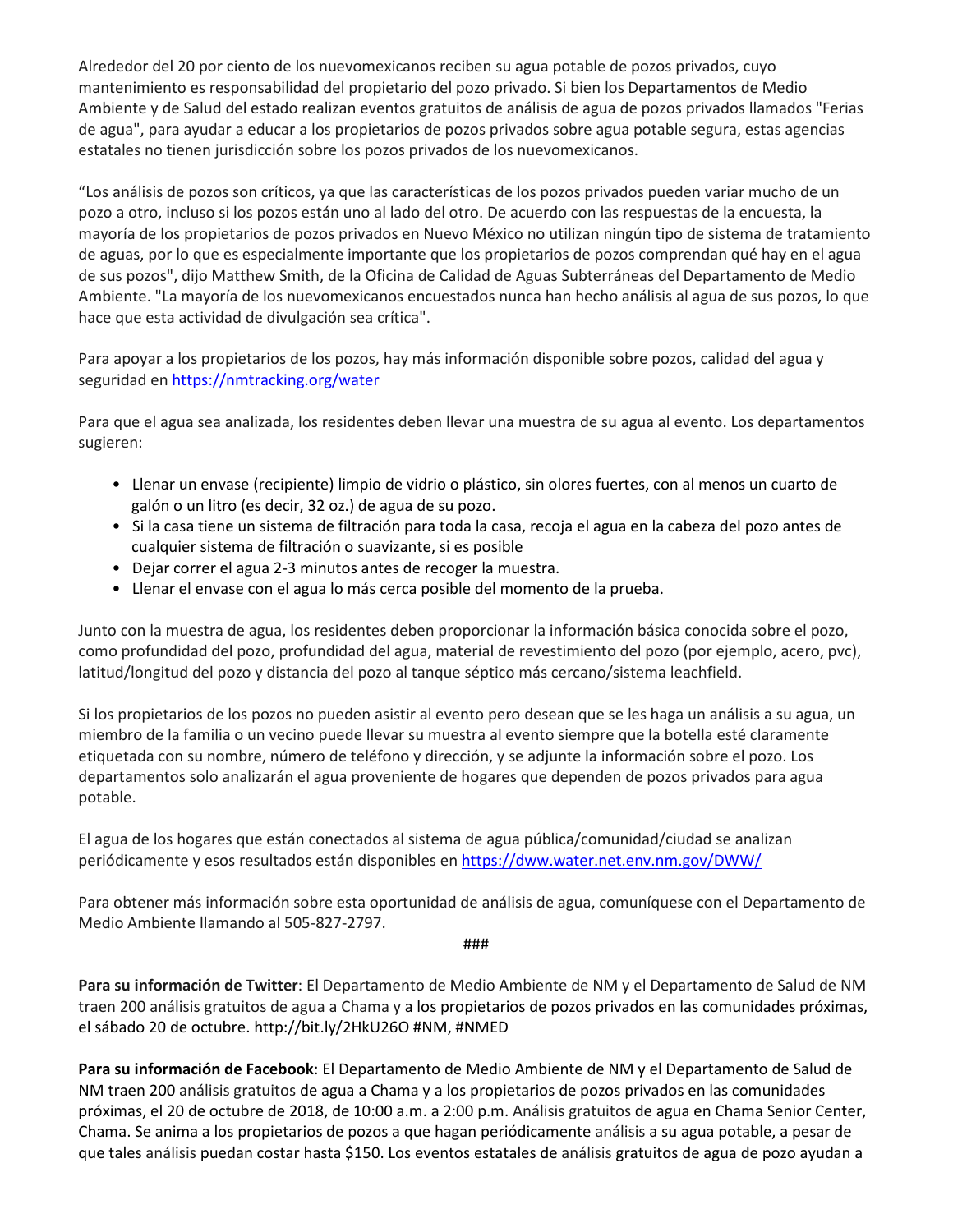Alrededor del 20 por ciento de los nuevomexicanos reciben su agua potable de pozos privados, cuyo mantenimiento es responsabilidad del propietario del pozo privado. Si bien los Departamentos de Medio Ambiente y de Salud del estado realizan eventos gratuitos de análisis de agua de pozos privados llamados "Ferias de agua", para ayudar a educar a los propietarios de pozos privados sobre agua potable segura, estas agencias estatales no tienen jurisdicción sobre los pozos privados de los nuevomexicanos.

"Los análisis de pozos son críticos, ya que las características de los pozos privados pueden variar mucho de un pozo a otro, incluso si los pozos están uno al lado del otro. De acuerdo con las respuestas de la encuesta, la mayoría de los propietarios de pozos privados en Nuevo México no utilizan ningún tipo de sistema de tratamiento de aguas, por lo que es especialmente importante que los propietarios de pozos comprendan qué hay en el agua de sus pozos", dijo Matthew Smith, de la Oficina de Calidad de Aguas Subterráneas del Departamento de Medio Ambiente. "La mayoría de los nuevomexicanos encuestados nunca han hecho análisis al agua de sus pozos, lo que hace que esta actividad de divulgación sea crítica".

Para apoyar a los propietarios de los pozos, hay más información disponible sobre pozos, calidad del agua y seguridad en <https://nmtracking.org/water>

Para que el agua sea analizada, los residentes deben llevar una muestra de su agua al evento. Los departamentos sugieren:

- Llenar un envase (recipiente) limpio de vidrio o plástico, sin olores fuertes, con al menos un cuarto de galón o un litro (es decir, 32 oz.) de agua de su pozo.
- Si la casa tiene un sistema de filtración para toda la casa, recoja el agua en la cabeza del pozo antes de cualquier sistema de filtración o suavizante, si es posible
- Dejar correr el agua 2-3 minutos antes de recoger la muestra.
- Llenar el envase con el agua lo más cerca posible del momento de la prueba.

Junto con la muestra de agua, los residentes deben proporcionar la información básica conocida sobre el pozo, como profundidad del pozo, profundidad del agua, material de revestimiento del pozo (por ejemplo, acero, pvc), latitud/longitud del pozo y distancia del pozo al tanque séptico más cercano/sistema leachfield.

Si los propietarios de los pozos no pueden asistir al evento pero desean que se les haga un análisis a su agua, un miembro de la familia o un vecino puede llevar su muestra al evento siempre que la botella esté claramente etiquetada con su nombre, número de teléfono y dirección, y se adjunte la información sobre el pozo. Los departamentos solo analizarán el agua proveniente de hogares que dependen de pozos privados para agua potable.

El agua de los hogares que están conectados al sistema de agua pública/comunidad/ciudad se analizan periódicamente y esos resultados están disponibles e[n https://dww.water.net.env.nm.gov/DWW/](https://dww.water.net.env.nm.gov/DWW/)

Para obtener más información sobre esta oportunidad de análisis de agua, comuníquese con el Departamento de Medio Ambiente llamando al 505-827-2797.

###

**Para su información de Twitter**: El Departamento de Medio Ambiente de NM y el Departamento de Salud de NM traen 200 análisis gratuitos de agua a Chama y a los propietarios de pozos privados en las comunidades próximas, el sábado 20 de octubre. http://bit.ly/2HkU26O #NM, #NMED

**Para su información de Facebook**: El Departamento de Medio Ambiente de NM y el Departamento de Salud de NM traen 200 análisis gratuitos de agua a Chama y a los propietarios de pozos privados en las comunidades próximas, el 20 de octubre de 2018, de 10:00 a.m. a 2:00 p.m. Análisis gratuitos de agua en Chama Senior Center, Chama. Se anima a los propietarios de pozos a que hagan periódicamente análisis a su agua potable, a pesar de que tales análisis puedan costar hasta \$150. Los eventos estatales de análisis gratuitos de agua de pozo ayudan a